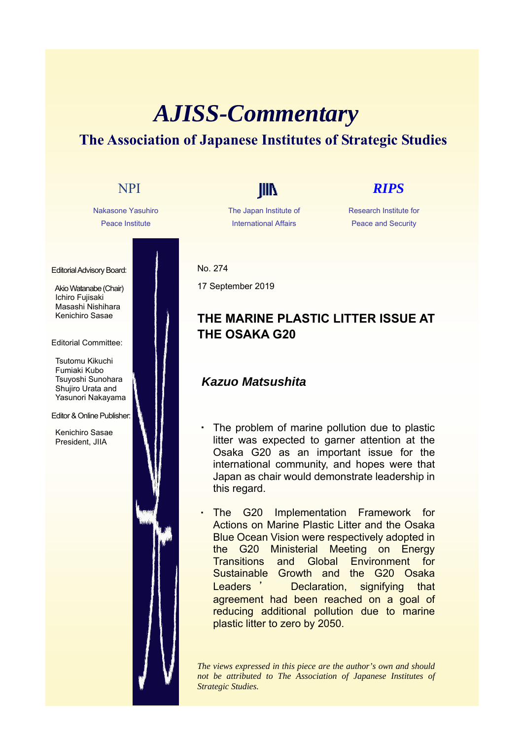# *AJISS-Commentary* **The Association of Japanese Institutes of Strategic Studies**



The Japan Institute of International Affairs

#### Research Institute for Peace and Security

No. 274

17 September 2019

## **THE MARINE PLASTIC LITTER ISSUE AT THE OSAKA G20**

### *Kazuo Matsushita*

- The problem of marine pollution due to plastic litter was expected to garner attention at the Osaka G20 as an important issue for the international community, and hopes were that Japan as chair would demonstrate leadership in this regard.
- The G20 Implementation Framework for Actions on Marine Plastic Litter and the Osaka Blue Ocean Vision were respectively adopted in the G20 Ministerial Meeting on Energy Transitions and Global Environment for Sustainable Growth and the G20 Osaka Leaders ' Declaration, signifying that agreement had been reached on a goal of reducing additional pollution due to marine plastic litter to zero by 2050.

*The views expressed in this piece are the author's own and should not be attributed to The Association of Japanese Institutes of Strategic Studies.*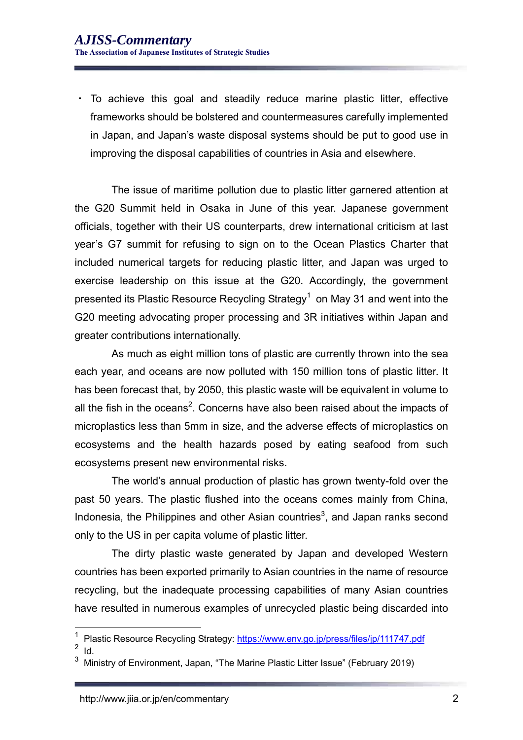・ To achieve this goal and steadily reduce marine plastic litter, effective frameworks should be bolstered and countermeasures carefully implemented in Japan, and Japan's waste disposal systems should be put to good use in improving the disposal capabilities of countries in Asia and elsewhere.

The issue of maritime pollution due to plastic litter garnered attention at the G20 Summit held in Osaka in June of this year. Japanese government officials, together with their US counterparts, drew international criticism at last year's G7 summit for refusing to sign on to the Ocean Plastics Charter that included numerical targets for reducing plastic litter, and Japan was urged to exercise leadership on this issue at the G20. Accordingly, the government presented its Plastic Resource Recycling Strategy $^1$  on May 31 and went into the G20 meeting advocating proper processing and 3R initiatives within Japan and greater contributions internationally.

As much as eight million tons of plastic are currently thrown into the sea each year, and oceans are now polluted with 150 million tons of plastic litter. It has been forecast that, by 2050, this plastic waste will be equivalent in volume to all the fish in the oceans<sup>2</sup>. Concerns have also been raised about the impacts of microplastics less than 5mm in size, and the adverse effects of microplastics on ecosystems and the health hazards posed by eating seafood from such ecosystems present new environmental risks.

The world's annual production of plastic has grown twenty-fold over the past 50 years. The plastic flushed into the oceans comes mainly from China, Indonesia, the Philippines and other Asian countries<sup>3</sup>, and Japan ranks second only to the US in per capita volume of plastic litter.

The dirty plastic waste generated by Japan and developed Western countries has been exported primarily to Asian countries in the name of resource recycling, but the inadequate processing capabilities of many Asian countries have resulted in numerous examples of unrecycled plastic being discarded into

 $\frac{2}{3}$  Id.

1

<sup>&</sup>lt;sup>1</sup> Plastic Resource Recycling Strategy: https://www.env.go.jp/press/files/jp/111747.pdf

<sup>3</sup> Ministry of Environment, Japan, "The Marine Plastic Litter Issue" (February 2019)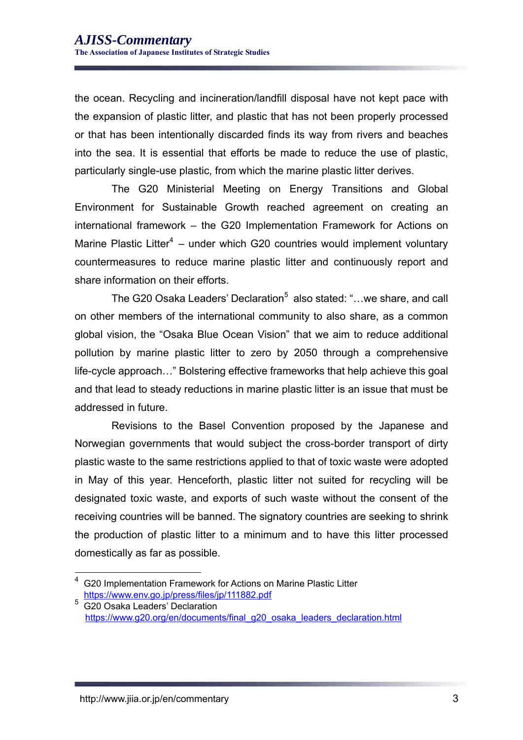the ocean. Recycling and incineration/landfill disposal have not kept pace with the expansion of plastic litter, and plastic that has not been properly processed or that has been intentionally discarded finds its way from rivers and beaches into the sea. It is essential that efforts be made to reduce the use of plastic, particularly single-use plastic, from which the marine plastic litter derives.

The G20 Ministerial Meeting on Energy Transitions and Global Environment for Sustainable Growth reached agreement on creating an international framework – the G20 Implementation Framework for Actions on Marine Plastic Litter<sup>4</sup> – under which G20 countries would implement voluntary countermeasures to reduce marine plastic litter and continuously report and share information on their efforts.

The G20 Osaka Leaders' Declaration<sup>5</sup> also stated: "…we share, and call on other members of the international community to also share, as a common global vision, the "Osaka Blue Ocean Vision" that we aim to reduce additional pollution by marine plastic litter to zero by 2050 through a comprehensive life-cycle approach…" Bolstering effective frameworks that help achieve this goal and that lead to steady reductions in marine plastic litter is an issue that must be addressed in future.

Revisions to the Basel Convention proposed by the Japanese and Norwegian governments that would subject the cross-border transport of dirty plastic waste to the same restrictions applied to that of toxic waste were adopted in May of this year. Henceforth, plastic litter not suited for recycling will be designated toxic waste, and exports of such waste without the consent of the receiving countries will be banned. The signatory countries are seeking to shrink the production of plastic litter to a minimum and to have this litter processed domestically as far as possible.

1

<sup>4</sup> G20 Implementation Framework for Actions on Marine Plastic Litter https://www.env.go.jp/press/files/jp/111882.pdf <sup>5</sup> G20 Osaka Leaders' Declaration

https://www.g20.org/en/documents/final\_g20\_osaka\_leaders\_declaration.html